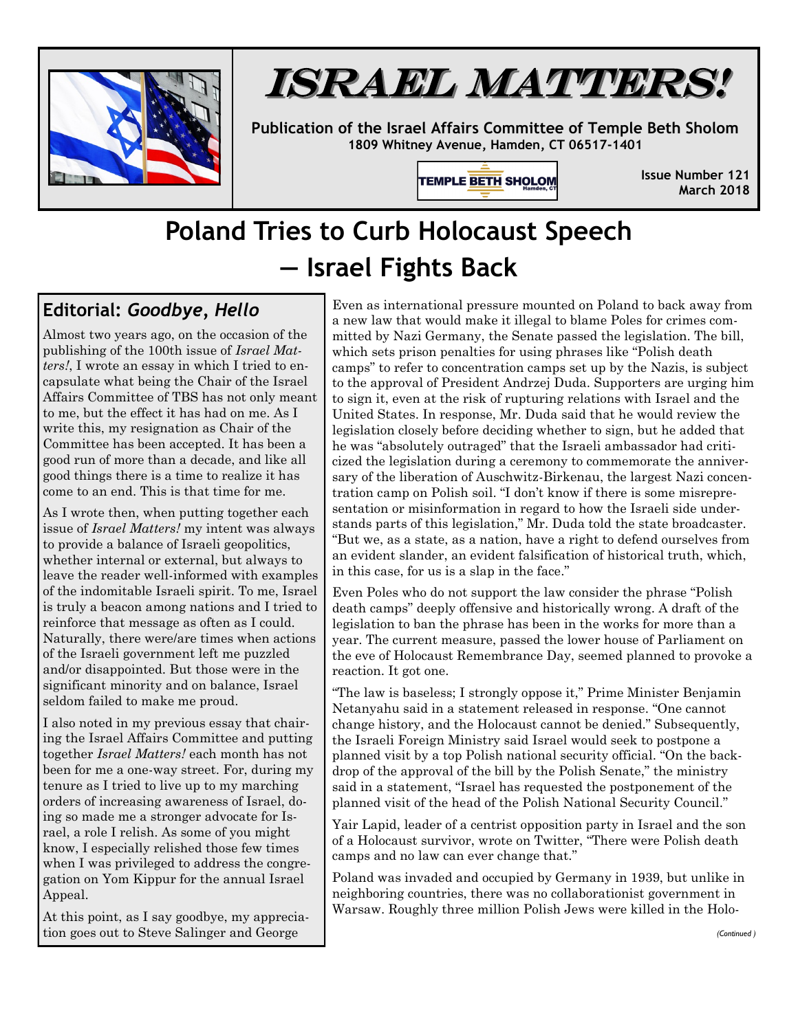

## ISRAEL MATTERS!

**Publication of the Israel Affairs Committee of Temple Beth Sholom 1809 Whitney Avenue, Hamden, CT 06517-1401**

**TEMPLE BETH SHOLOM** 

**Issue Number 121 March 2018**

## **Poland Tries to Curb Holocaust Speech — Israel Fights Back**

## **Editorial:** *Goodbye, Hello*

Almost two years ago, on the occasion of the publishing of the 100th issue of *Israel Matters!*, I wrote an essay in which I tried to encapsulate what being the Chair of the Israel Affairs Committee of TBS has not only meant to me, but the effect it has had on me. As I write this, my resignation as Chair of the Committee has been accepted. It has been a good run of more than a decade, and like all good things there is a time to realize it has come to an end. This is that time for me.

As I wrote then, when putting together each issue of *Israel Matters!* my intent was always to provide a balance of Israeli geopolitics, whether internal or external, but always to leave the reader well-informed with examples of the indomitable Israeli spirit. To me, Israel is truly a beacon among nations and I tried to reinforce that message as often as I could. Naturally, there were/are times when actions of the Israeli government left me puzzled and/or disappointed. But those were in the significant minority and on balance, Israel seldom failed to make me proud.

I also noted in my previous essay that chairing the Israel Affairs Committee and putting together *Israel Matters!* each month has not been for me a one-way street. For, during my tenure as I tried to live up to my marching orders of increasing awareness of Israel, doing so made me a stronger advocate for Israel, a role I relish. As some of you might know, I especially relished those few times when I was privileged to address the congregation on Yom Kippur for the annual Israel Appeal.

At this point, as I say goodbye, my appreciation goes out to Steve Salinger and George

Even as international pressure mounted on Poland to back away from a new law that would make it illegal to blame Poles for crimes committed by Nazi Germany, the Senate passed the legislation. The bill, which sets prison penalties for using phrases like "Polish death camps" to refer to concentration camps set up by the Nazis, is subject to the approval of President Andrzej Duda. Supporters are urging him to sign it, even at the risk of rupturing relations with Israel and the United States. In response, Mr. Duda said that he would review the legislation closely before deciding whether to sign, but he added that he was "absolutely outraged" that the Israeli ambassador had criticized the legislation during a ceremony to commemorate the anniversary of the liberation of Auschwitz-Birkenau, the largest Nazi concentration camp on Polish soil. "I don't know if there is some misrepresentation or misinformation in regard to how the Israeli side understands parts of this legislation," Mr. Duda told the state broadcaster. "But we, as a state, as a nation, have a right to defend ourselves from an evident slander, an evident falsification of historical truth, which, in this case, for us is a slap in the face."

Even Poles who do not support the law consider the phrase "Polish death camps" deeply offensive and historically wrong. A draft of the legislation to ban the phrase has been in the works for more than a year. The current measure, passed the lower house of Parliament on the eve of Holocaust Remembrance Day, seemed planned to provoke a reaction. It got one.

"The law is baseless; I strongly oppose it," Prime Minister Benjamin Netanyahu said in a statement released in response. "One cannot change history, and the Holocaust cannot be denied." Subsequently, the Israeli Foreign Ministry said Israel would seek to postpone a planned visit by a top Polish national security official. "On the backdrop of the approval of the bill by the Polish Senate," the ministry said in a statement, "Israel has requested the postponement of the planned visit of the head of the Polish National Security Council."

Yair Lapid, leader of a centrist opposition party in Israel and the son of a Holocaust survivor, wrote on Twitter, "There were Polish death camps and no law can ever change that."

Poland was invaded and occupied by Germany in 1939, but unlike in neighboring countries, there was no collaborationist government in Warsaw. Roughly three million Polish Jews were killed in the Holo